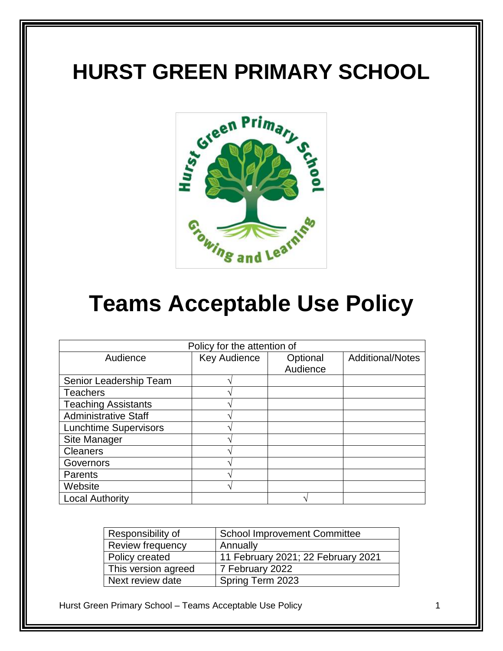# **HURST GREEN PRIMARY SCHOOL**



# **Teams Acceptable Use Policy**

| Policy for the attention of  |                     |          |                         |
|------------------------------|---------------------|----------|-------------------------|
| Audience                     | <b>Key Audience</b> | Optional | <b>Additional/Notes</b> |
|                              |                     | Audience |                         |
| Senior Leadership Team       |                     |          |                         |
| <b>Teachers</b>              |                     |          |                         |
| <b>Teaching Assistants</b>   |                     |          |                         |
| <b>Administrative Staff</b>  |                     |          |                         |
| <b>Lunchtime Supervisors</b> |                     |          |                         |
| Site Manager                 |                     |          |                         |
| <b>Cleaners</b>              |                     |          |                         |
| Governors                    |                     |          |                         |
| Parents                      |                     |          |                         |
| Website                      |                     |          |                         |
| <b>Local Authority</b>       |                     |          |                         |

| Responsibility of   | <b>School Improvement Committee</b> |
|---------------------|-------------------------------------|
| Review frequency    | Annually                            |
| Policy created      | 11 February 2021; 22 February 2021  |
| This version agreed | 7 February 2022                     |
| Next review date    | Spring Term 2023                    |

Hurst Green Primary School – Teams Acceptable Use Policy 1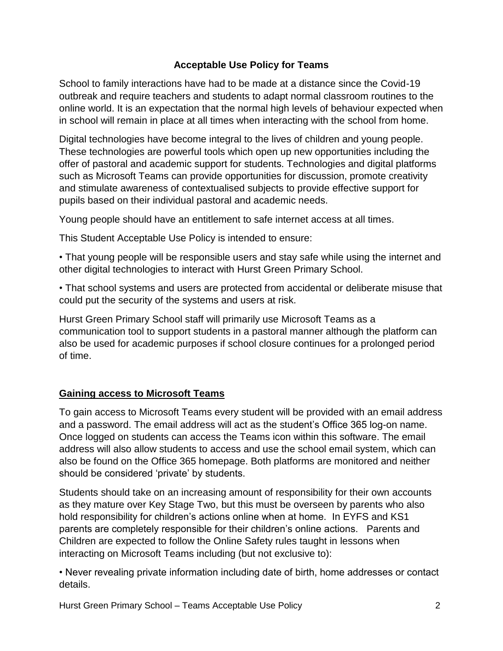### **Acceptable Use Policy for Teams**

School to family interactions have had to be made at a distance since the Covid-19 outbreak and require teachers and students to adapt normal classroom routines to the online world. It is an expectation that the normal high levels of behaviour expected when in school will remain in place at all times when interacting with the school from home.

Digital technologies have become integral to the lives of children and young people. These technologies are powerful tools which open up new opportunities including the offer of pastoral and academic support for students. Technologies and digital platforms such as Microsoft Teams can provide opportunities for discussion, promote creativity and stimulate awareness of contextualised subjects to provide effective support for pupils based on their individual pastoral and academic needs.

Young people should have an entitlement to safe internet access at all times.

This Student Acceptable Use Policy is intended to ensure:

• That young people will be responsible users and stay safe while using the internet and other digital technologies to interact with Hurst Green Primary School.

• That school systems and users are protected from accidental or deliberate misuse that could put the security of the systems and users at risk.

Hurst Green Primary School staff will primarily use Microsoft Teams as a communication tool to support students in a pastoral manner although the platform can also be used for academic purposes if school closure continues for a prolonged period of time.

#### **Gaining access to Microsoft Teams**

To gain access to Microsoft Teams every student will be provided with an email address and a password. The email address will act as the student's Office 365 log-on name. Once logged on students can access the Teams icon within this software. The email address will also allow students to access and use the school email system, which can also be found on the Office 365 homepage. Both platforms are monitored and neither should be considered 'private' by students.

Students should take on an increasing amount of responsibility for their own accounts as they mature over Key Stage Two, but this must be overseen by parents who also hold responsibility for children's actions online when at home. In EYFS and KS1 parents are completely responsible for their children's online actions. Parents and Children are expected to follow the Online Safety rules taught in lessons when interacting on Microsoft Teams including (but not exclusive to):

• Never revealing private information including date of birth, home addresses or contact details.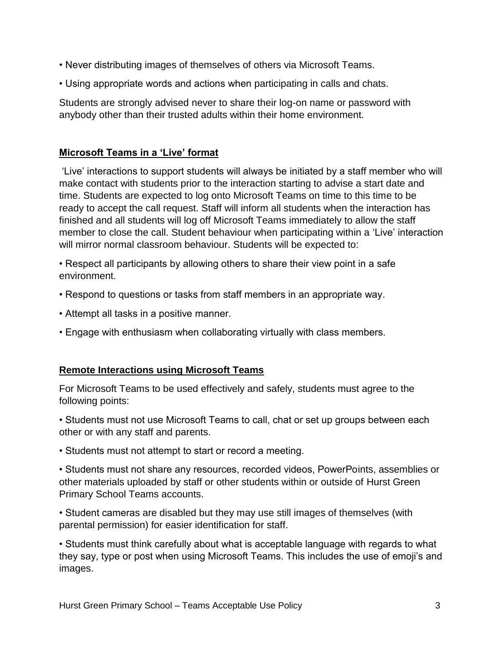- Never distributing images of themselves of others via Microsoft Teams.
- Using appropriate words and actions when participating in calls and chats.

Students are strongly advised never to share their log-on name or password with anybody other than their trusted adults within their home environment.

### **Microsoft Teams in a 'Live' format**

'Live' interactions to support students will always be initiated by a staff member who will make contact with students prior to the interaction starting to advise a start date and time. Students are expected to log onto Microsoft Teams on time to this time to be ready to accept the call request. Staff will inform all students when the interaction has finished and all students will log off Microsoft Teams immediately to allow the staff member to close the call. Student behaviour when participating within a 'Live' interaction will mirror normal classroom behaviour. Students will be expected to:

• Respect all participants by allowing others to share their view point in a safe environment.

- Respond to questions or tasks from staff members in an appropriate way.
- Attempt all tasks in a positive manner.
- Engage with enthusiasm when collaborating virtually with class members.

#### **Remote Interactions using Microsoft Teams**

For Microsoft Teams to be used effectively and safely, students must agree to the following points:

- Students must not use Microsoft Teams to call, chat or set up groups between each other or with any staff and parents.
- Students must not attempt to start or record a meeting.

• Students must not share any resources, recorded videos, PowerPoints, assemblies or other materials uploaded by staff or other students within or outside of Hurst Green Primary School Teams accounts.

• Student cameras are disabled but they may use still images of themselves (with parental permission) for easier identification for staff.

• Students must think carefully about what is acceptable language with regards to what they say, type or post when using Microsoft Teams. This includes the use of emoji's and images.